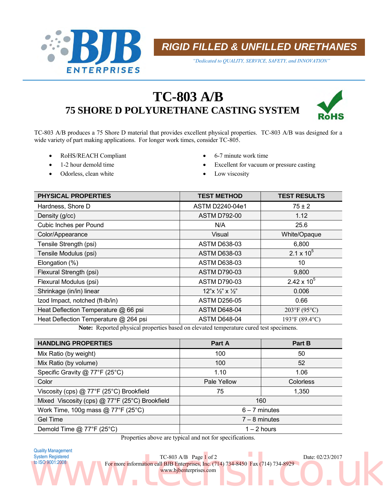

*RIGID FILLED & UNFILLED URETHANES*

*"Dedicated to QUALITY, SERVICE, SAFETY, and INNOVATION"*

# **TC-803 A/B 75 SHORE D POLYURETHANE CASTING SYSTEM**



TC-803 A/B produces a 75 Shore D material that provides excellent physical properties. TC-803 A/B was designed for a wide variety of part making applications. For longer work times, consider TC-805.

- RoHS/REACH Compliant 6-7 minute work time
- 
- Odorless, clean white  $\bullet$  Low viscosity
- 
- 1-2 hour demold time **Excellent** for vacuum or pressure casting
	-

| <b>PHYSICAL PROPERTIES</b>                                                                                                                                                                                                                                                                                                                                            | <b>TEST METHOD</b>                               | <b>TEST RESULTS</b>       |
|-----------------------------------------------------------------------------------------------------------------------------------------------------------------------------------------------------------------------------------------------------------------------------------------------------------------------------------------------------------------------|--------------------------------------------------|---------------------------|
| Hardness, Shore D                                                                                                                                                                                                                                                                                                                                                     | ASTM D2240-04e1                                  | $75 \pm 2$                |
| Density (g/cc)                                                                                                                                                                                                                                                                                                                                                        | <b>ASTM D792-00</b>                              | 1.12                      |
| Cubic Inches per Pound                                                                                                                                                                                                                                                                                                                                                | N/A                                              | 25.6                      |
| Color/Appearance                                                                                                                                                                                                                                                                                                                                                      | Visual                                           | White/Opaque              |
| Tensile Strength (psi)                                                                                                                                                                                                                                                                                                                                                | <b>ASTM D638-03</b>                              | 6,800                     |
| Tensile Modulus (psi)                                                                                                                                                                                                                                                                                                                                                 | <b>ASTM D638-03</b>                              | 2.1 x $10^5$              |
| Elongation (%)                                                                                                                                                                                                                                                                                                                                                        | <b>ASTM D638-03</b>                              | 10                        |
| Flexural Strength (psi)                                                                                                                                                                                                                                                                                                                                               | <b>ASTM D790-03</b>                              | 9,800                     |
| Flexural Modulus (psi)                                                                                                                                                                                                                                                                                                                                                | <b>ASTM D790-03</b>                              | $2.42 \times 10^{5}$      |
| Shrinkage (in/in) linear                                                                                                                                                                                                                                                                                                                                              | $12"x \frac{1}{2}"x \frac{1}{2}"$                | 0.006                     |
| Izod Impact, notched (ft-Ib/in)                                                                                                                                                                                                                                                                                                                                       | <b>ASTM D256-05</b>                              | 0.66                      |
| Heat Deflection Temperature @ 66 psi                                                                                                                                                                                                                                                                                                                                  | <b>ASTM D648-04</b>                              | 203°F (95°C)              |
| Heat Deflection Temperature @ 264 psi                                                                                                                                                                                                                                                                                                                                 | <b>ASTM D648-04</b>                              | 193°F (89.4°C)            |
| $\cdot$ $\cdot$ $\cdot$ $\cdot$<br>$\mathbf{r}$ $\mathbf{r}$ $\mathbf{r}$ $\mathbf{r}$ $\mathbf{r}$ $\mathbf{r}$ $\mathbf{r}$ $\mathbf{r}$ $\mathbf{r}$ $\mathbf{r}$ $\mathbf{r}$ $\mathbf{r}$ $\mathbf{r}$ $\mathbf{r}$ $\mathbf{r}$ $\mathbf{r}$ $\mathbf{r}$ $\mathbf{r}$ $\mathbf{r}$ $\mathbf{r}$ $\mathbf{r}$ $\mathbf{r}$ $\mathbf{r}$ $\mathbf{r}$ $\mathbf{$ | $\sim$ 1.000 $\sim$<br>$\mathbf{1}$ $\mathbf{1}$ | $\mathbf{1}$ $\mathbf{1}$ |

**Note:** Reported physical properties based on elevated temperature cured test specimens.

| <b>HANDLING PROPERTIES</b>                     | Part A          | Part B           |  |
|------------------------------------------------|-----------------|------------------|--|
| Mix Ratio (by weight)                          | 100             | 50               |  |
| Mix Ratio (by volume)                          | 100             | 52               |  |
| Specific Gravity @ 77°F (25°C)                 | 1.10            | 1.06             |  |
| Color                                          | Pale Yellow     | <b>Colorless</b> |  |
| Viscosity (cps) @ 77°F (25°C) Brookfield       | 75              | 1,350            |  |
| Mixed Viscosity (cps) @ 77°F (25°C) Brookfield | 160             |                  |  |
| Work Time, 100g mass @ 77°F (25°C)             | $6 - 7$ minutes |                  |  |
| <b>Gel Time</b>                                | $7 - 8$ minutes |                  |  |
| Demold Time $@$ 77°F (25°C)                    | $1 - 2$ hours   |                  |  |

Properties above are typical and not for specifications.

Quality Management System Registered to ISO 9001:2008

TC-803 A/B Page 1 of 2 Date: 02/23/2017 For more information call BJB Enterprises, Inc. (714) 734-8450 Fax (714) 734-8929 www.bjbenterprises.com System Registered<br>to ISO 9001:2008<br>both Solen (2002)<br>co.uk by Both Call BJB Enterprises, Inc. (714) 734-8450<br>www.bibenterprises.com<br>co.uk by the Call BJB Enterprises.com<br>co.uk by the Call BJB Enterprises.com<br>co.uk by the C